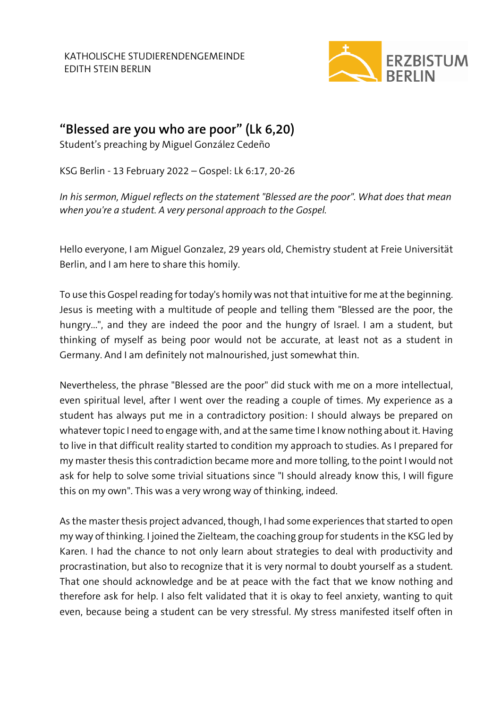

## **"Blessed are you who are poor" (Lk 6,20)**

Student's preaching by Miguel González Cedeño

KSG Berlin - 13 February 2022 – Gospel: Lk 6:17, 20-26

*In his sermon, Miguel reflects on the statement "Blessed are the poor". What does that mean when you're a student. A very personal approach to the Gospel.*

Hello everyone, I am Miguel Gonzalez, 29 years old, Chemistry student at Freie Universität Berlin, and I am here to share this homily.

To use this Gospel reading for today's homily was not that intuitive for me at the beginning. Jesus is meeting with a multitude of people and telling them "Blessed are the poor, the hungry...", and they are indeed the poor and the hungry of Israel. I am a student, but thinking of myself as being poor would not be accurate, at least not as a student in Germany. And I am definitely not malnourished, just somewhat thin.

Nevertheless, the phrase "Blessed are the poor" did stuck with me on a more intellectual, even spiritual level, after I went over the reading a couple of times. My experience as a student has always put me in a contradictory position: I should always be prepared on whatever topic I need to engage with, and at the same time I know nothing about it. Having to live in that difficult reality started to condition my approach to studies. As I prepared for my master thesis this contradiction became more and more tolling, to the point I would not ask for help to solve some trivial situations since "I should already know this, I will figure this on my own". This was a very wrong way of thinking, indeed.

As the master thesis project advanced, though, I had some experiences that started to open my way of thinking. I joined the Zielteam, the coaching group for students in the KSG led by Karen. I had the chance to not only learn about strategies to deal with productivity and procrastination, but also to recognize that it is very normal to doubt yourself as a student. That one should acknowledge and be at peace with the fact that we know nothing and therefore ask for help. I also felt validated that it is okay to feel anxiety, wanting to quit even, because being a student can be very stressful. My stress manifested itself often in